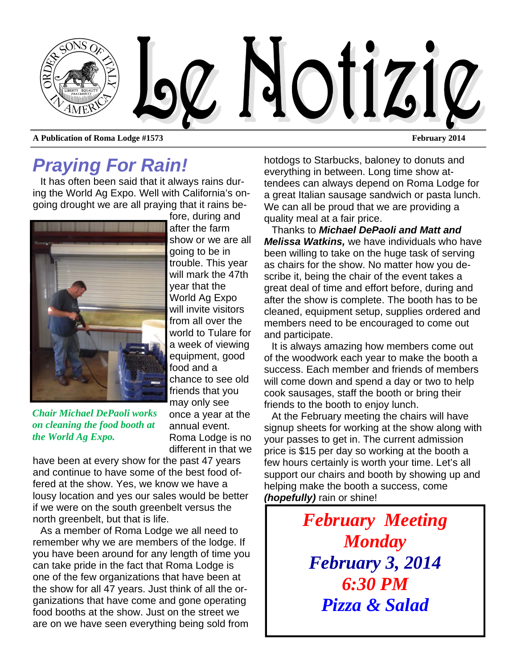

## *Praying For Rain!*

It has often been said that it always rains during the World Ag Expo. Well with California's ongoing drought we are all praying that it rains be-



fore, during and after the farm show or we are all going to be in trouble. This year will mark the 47th year that the World Ag Expo will invite visitors from all over the world to Tulare for a week of viewing equipment, good food and a chance to see old friends that you may only see once a year at the annual event. Roma Lodge is no different in that we

*Chair Michael DePaoli works on cleaning the food booth at the World Ag Expo.* 

have been at every show for the past 47 years and continue to have some of the best food offered at the show. Yes, we know we have a lousy location and yes our sales would be better if we were on the south greenbelt versus the north greenbelt, but that is life.

As a member of Roma Lodge we all need to remember why we are members of the lodge. If you have been around for any length of time you can take pride in the fact that Roma Lodge is one of the few organizations that have been at the show for all 47 years. Just think of all the organizations that have come and gone operating food booths at the show. Just on the street we are on we have seen everything being sold from

hotdogs to Starbucks, baloney to donuts and everything in between. Long time show attendees can always depend on Roma Lodge for a great Italian sausage sandwich or pasta lunch. We can all be proud that we are providing a quality meal at a fair price.

Thanks to *Michael DePaoli and Matt and Melissa Watkins,* we have individuals who have been willing to take on the huge task of serving as chairs for the show. No matter how you describe it, being the chair of the event takes a great deal of time and effort before, during and after the show is complete. The booth has to be cleaned, equipment setup, supplies ordered and members need to be encouraged to come out and participate.

It is always amazing how members come out of the woodwork each year to make the booth a success. Each member and friends of members will come down and spend a day or two to help cook sausages, staff the booth or bring their friends to the booth to enjoy lunch.

At the February meeting the chairs will have signup sheets for working at the show along with your passes to get in. The current admission price is \$15 per day so working at the booth a few hours certainly is worth your time. Let's all support our chairs and booth by showing up and helping make the booth a success, come *(hopefully)* rain or shine!

> *February Meeting Monday February 3, 2014 6:30 PM Pizza & Salad*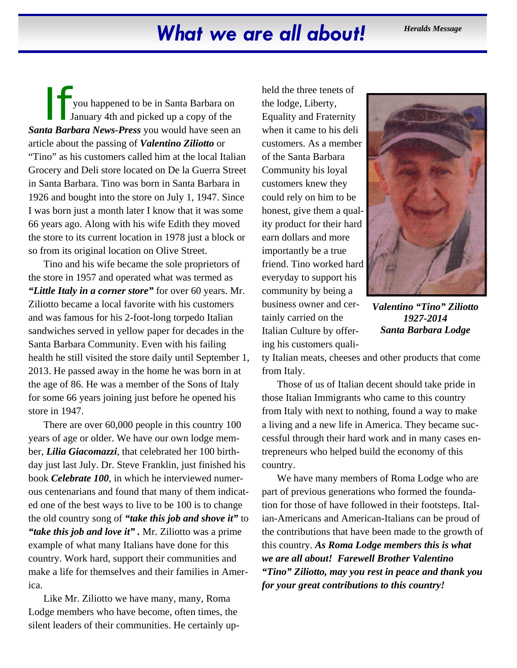## What we are all about! *Heralds Message*

If you happened to be in Santa Barbara on January 4th and picked up a copy of the *Santa Barbara News-Press* you would have seen an article about the passing of *Valentino Ziliotto* or "Tino" as his customers called him at the local Italian Grocery and Deli store located on De la Guerra Street in Santa Barbara. Tino was born in Santa Barbara in 1926 and bought into the store on July 1, 1947. Since I was born just a month later I know that it was some 66 years ago. Along with his wife Edith they moved the store to its current location in 1978 just a block or so from its original location on Olive Street.

Tino and his wife became the sole proprietors of the store in 1957 and operated what was termed as *"Little Italy in a corner store"* for over 60 years. Mr. Ziliotto became a local favorite with his customers and was famous for his 2-foot-long torpedo Italian sandwiches served in yellow paper for decades in the Santa Barbara Community. Even with his failing health he still visited the store daily until September 1, 2013. He passed away in the home he was born in at the age of 86. He was a member of the Sons of Italy for some 66 years joining just before he opened his store in 1947.

There are over 60,000 people in this country 100 years of age or older. We have our own lodge member, *Lilia Giacomazzi*, that celebrated her 100 birthday just last July. Dr. Steve Franklin, just finished his book *Celebrate 100*, in which he interviewed numerous centenarians and found that many of them indicated one of the best ways to live to be 100 is to change the old country song of *"take this job and shove it"* to *"take this job and love it" .* Mr. Ziliotto was a prime example of what many Italians have done for this country. Work hard, support their communities and make a life for themselves and their families in America.

Like Mr. Ziliotto we have many, many, Roma Lodge members who have become, often times, the silent leaders of their communities. He certainly upheld the three tenets of the lodge, Liberty, Equality and Fraternity when it came to his deli customers. As a member of the Santa Barbara Community his loyal customers knew they could rely on him to be honest, give them a quality product for their hard earn dollars and more importantly be a true friend. Tino worked hard everyday to support his community by being a business owner and certainly carried on the Italian Culture by offering his customers quali-



*Valentino "Tino" Ziliotto 1927-2014 Santa Barbara Lodge* 

ty Italian meats, cheeses and other products that come from Italy.

Those of us of Italian decent should take pride in those Italian Immigrants who came to this country from Italy with next to nothing, found a way to make a living and a new life in America. They became successful through their hard work and in many cases entrepreneurs who helped build the economy of this country.

We have many members of Roma Lodge who are part of previous generations who formed the foundation for those of have followed in their footsteps. Italian-Americans and American-Italians can be proud of the contributions that have been made to the growth of this country. *As Roma Lodge members this is what we are all about! Farewell Brother Valentino "Tino" Ziliotto, may you rest in peace and thank you for your great contributions to this country!*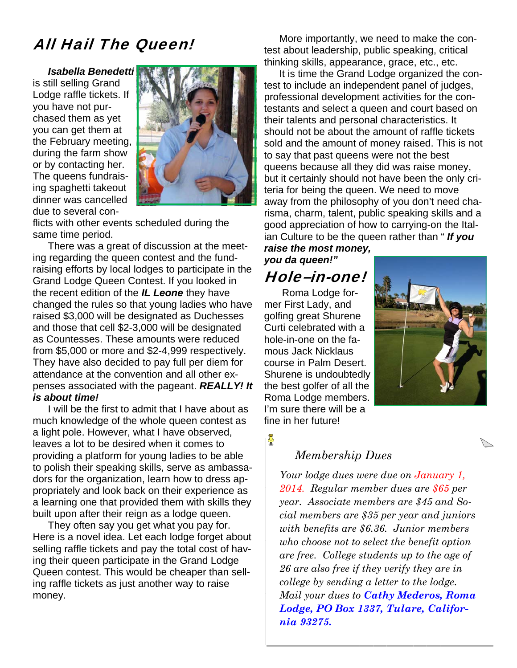## All Hail The Queen!

*Isabella Benedetti*  is still selling Grand Lodge raffle tickets. If you have not purchased them as yet you can get them at the February meeting, during the farm show or by contacting her. The queens fundraising spaghetti takeout dinner was cancelled due to several con-



flicts with other events scheduled during the same time period.

There was a great of discussion at the meeting regarding the queen contest and the fundraising efforts by local lodges to participate in the Grand Lodge Queen Contest. If you looked in the recent edition of the *IL Leone* they have changed the rules so that young ladies who have raised \$3,000 will be designated as Duchesses and those that cell \$2-3,000 will be designated as Countesses. These amounts were reduced from \$5,000 or more and \$2-4,999 respectively. They have also decided to pay full per diem for attendance at the convention and all other expenses associated with the pageant. *REALLY! It is about time!* 

I will be the first to admit that I have about as much knowledge of the whole queen contest as a light pole. However, what I have observed, leaves a lot to be desired when it comes to providing a platform for young ladies to be able to polish their speaking skills, serve as ambassadors for the organization, learn how to dress appropriately and look back on their experience as a learning one that provided them with skills they built upon after their reign as a lodge queen.

They often say you get what you pay for. Here is a novel idea. Let each lodge forget about selling raffle tickets and pay the total cost of having their queen participate in the Grand Lodge Queen contest. This would be cheaper than selling raffle tickets as just another way to raise money.

More importantly, we need to make the contest about leadership, public speaking, critical thinking skills, appearance, grace, etc., etc.

It is time the Grand Lodge organized the contest to include an independent panel of judges, professional development activities for the contestants and select a queen and court based on their talents and personal characteristics. It should not be about the amount of raffle tickets sold and the amount of money raised. This is not to say that past queens were not the best queens because all they did was raise money, but it certainly should not have been the only criteria for being the queen. We need to move away from the philosophy of you don't need charisma, charm, talent, public speaking skills and a good appreciation of how to carrying-on the Italian Culture to be the queen rather than " *If you* 

*raise the most money, you da queen!"* 

## Hole–in-one!

 Roma Lodge former First Lady, and golfing great Shurene Curti celebrated with a hole-in-one on the famous Jack Nicklaus course in Palm Desert. Shurene is undoubtedly the best golfer of all the Roma Lodge members. I'm sure there will be a fine in her future!



#### *Membership Dues*

*Your lodge dues were due on January 1, 2014. Regular member dues are \$65 per year. Associate members are \$45 and Social members are \$35 per year and juniors with benefits are \$6.36. Junior members who choose not to select the benefit option are free. College students up to the age of 26 are also free if they verify they are in college by sending a letter to the lodge. Mail your dues to Cathy Mederos, Roma Lodge, PO Box 1337, Tulare, California 93275.*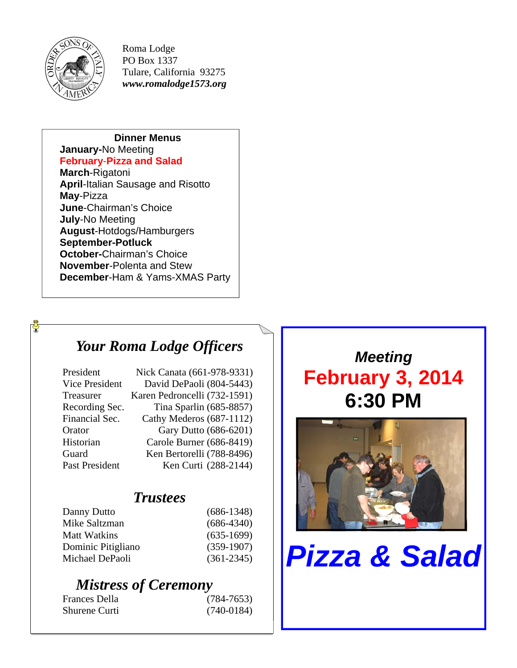

 $\Phi$ 

Roma Lodge PO Box 1337 Tulare, California 93275 *www.romalodge1573.org* 

#### **Dinner Menus**

#### **January-**No Meeting

**February**-**Pizza and Salad**

**March**-Rigatoni **April**-Italian Sausage and Risotto **May**-Pizza **June**-Chairman's Choice **July**-No Meeting **August**-Hotdogs/Hamburgers **September-Potluck October-**Chairman's Choice **November**-Polenta and Stew **December**-Ham & Yams-XMAS Party

## *Your Roma Lodge Officers*

| Nick Canata (661-978-9331)   |
|------------------------------|
| David DePaoli (804-5443)     |
| Karen Pedroncelli (732-1591) |
| Tina Sparlin (685-8857)      |
| Cathy Mederos (687-1112)     |
| Gary Dutto (686-6201)        |
| Carole Burner (686-8419)     |
| Ken Bertorelli (788-8496)    |
| Ken Curti (288-2144)         |
|                              |

### *Trustees*

| Danny Dutto         | $(686-1348)$   |
|---------------------|----------------|
| Mike Saltzman       | $(686-4340)$   |
| <b>Matt Watkins</b> | $(635-1699)$   |
| Dominic Pitigliano  | $(359-1907)$   |
| Michael DePaoli     | $(361 - 2345)$ |
|                     |                |

## *Mistress of Ceremony*

| Frances Della | $(784 - 7653)$ |
|---------------|----------------|
| Shurene Curti | $(740-0184)$   |

*Meeting*  **February 3, 2014 6:30 PM** 



# *Pizza & Salad*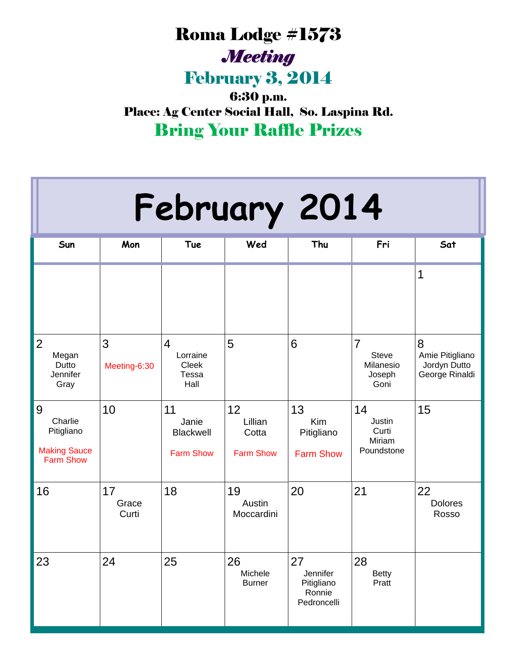## Roma Lodge #1573 *Meeting*

February 3, 2014

6:30 p.m. Place: Ag Center Social Hall, So. Laspina Rd. Bring Your Raffle Prizes

| February 2014                                                         |                      |                                                     |                                            |                                                       |                                                               |                                                        |  |  |  |
|-----------------------------------------------------------------------|----------------------|-----------------------------------------------------|--------------------------------------------|-------------------------------------------------------|---------------------------------------------------------------|--------------------------------------------------------|--|--|--|
| Sun                                                                   | Mon                  | <b>Tue</b>                                          | Wed                                        | Thu                                                   | Fri                                                           | Sat                                                    |  |  |  |
|                                                                       |                      |                                                     |                                            |                                                       |                                                               | 1                                                      |  |  |  |
| $\overline{2}$<br>Megan<br>Dutto<br>Jennifer<br>Gray                  | 3<br>Meeting-6:30    | 4<br>Lorraine<br>Cleek<br><b>Tessa</b><br>Hall      | 5                                          | 6                                                     | $\overline{7}$<br><b>Steve</b><br>Milanesio<br>Joseph<br>Goni | 8<br>Amie Pitigliano<br>Jordyn Dutto<br>George Rinaldi |  |  |  |
| 9<br>Charlie<br>Pitigliano<br><b>Making Sauce</b><br><b>Farm Show</b> | 10                   | 11<br>Janie<br><b>Blackwell</b><br><b>Farm Show</b> | 12<br>Lillian<br>Cotta<br><b>Farm Show</b> | 13<br>Kim<br>Pitigliano<br><b>Farm Show</b>           | 14<br>Justin<br>Curti<br>Miriam<br>Poundstone                 | 15                                                     |  |  |  |
| 16                                                                    | 17<br>Grace<br>Curti | 18                                                  | 19<br>Austin<br>Moccardini                 | 20                                                    | 21                                                            | 22<br><b>Dolores</b><br>Rosso                          |  |  |  |
| 23                                                                    | 24                   | 25                                                  | 26<br>Michele<br><b>Burner</b>             | 27<br>Jennifer<br>Pitigliano<br>Ronnie<br>Pedroncelli | 28<br><b>Betty</b><br>Pratt                                   |                                                        |  |  |  |